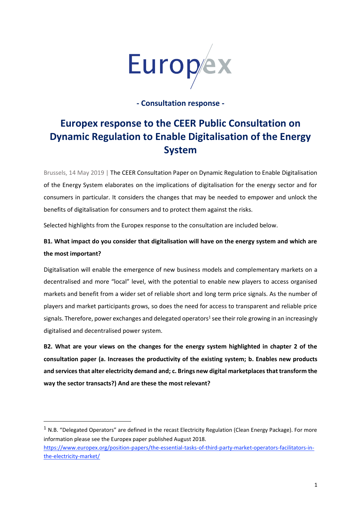

**- Consultation response -** 

# **Europex response to the CEER Public Consultation on Dynamic Regulation to Enable Digitalisation of the Energy System**

Brussels, 14 May 2019 | The CEER Consultation Paper on Dynamic Regulation to Enable Digitalisation of the Energy System elaborates on the implications of digitalisation for the energy sector and for consumers in particular. It considers the changes that may be needed to empower and unlock the benefits of digitalisation for consumers and to protect them against the risks.

Selected highlights from the Europex response to the consultation are included below.

# **B1. What impact do you consider that digitalisation will have on the energy system and which are the most important?**

Digitalisation will enable the emergence of new business models and complementary markets on a decentralised and more "local" level, with the potential to enable new players to access organised markets and benefit from a wider set of reliable short and long term price signals. As the number of players and market participants grows, so does the need for access to transparent and reliable price signals. Therefore, power exchanges and delegated operators<sup>1</sup> see their role growing in an increasingly digitalised and decentralised power system.

**B2. What are your views on the changes for the energy system highlighted in chapter 2 of the consultation paper (a. Increases the productivity of the existing system; b. Enables new products and services that alter electricity demand and; c. Brings new digital marketplaces that transform the way the sector transacts?) And are these the most relevant?** 

 $\overline{a}$ 

 $1$  N.B. "Delegated Operators" are defined in the recast Electricity Regulation (Clean Energy Package). For more information please see the Europex paper published August 2018.

[https://www.europex.org/position-papers/the-essential-tasks-of-third-party-market-operators-facilitators-in](https://www.europex.org/position-papers/the-essential-tasks-of-third-party-market-operators-facilitators-in-the-electricity-market/)[the-electricity-market/](https://www.europex.org/position-papers/the-essential-tasks-of-third-party-market-operators-facilitators-in-the-electricity-market/)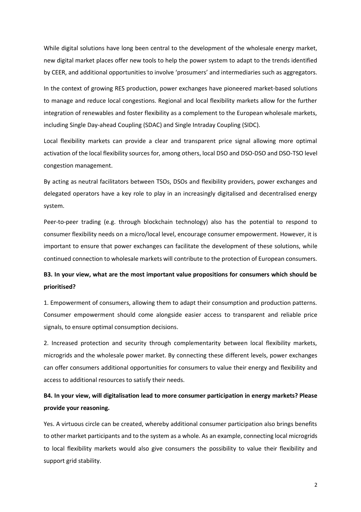While digital solutions have long been central to the development of the wholesale energy market, new digital market places offer new tools to help the power system to adapt to the trends identified by CEER, and additional opportunities to involve 'prosumers' and intermediaries such as aggregators.

In the context of growing RES production, power exchanges have pioneered market-based solutions to manage and reduce local congestions. Regional and local flexibility markets allow for the further integration of renewables and foster flexibility as a complement to the European wholesale markets, including Single Day-ahead Coupling (SDAC) and Single Intraday Coupling (SIDC).

Local flexibility markets can provide a clear and transparent price signal allowing more optimal activation of the local flexibility sources for, among others, local DSO and DSO-DSO and DSO-TSO level congestion management.

By acting as neutral facilitators between TSOs, DSOs and flexibility providers, power exchanges and delegated operators have a key role to play in an increasingly digitalised and decentralised energy system.

Peer-to-peer trading (e.g. through blockchain technology) also has the potential to respond to consumer flexibility needs on a micro/local level, encourage consumer empowerment. However, it is important to ensure that power exchanges can facilitate the development of these solutions, while continued connection to wholesale markets will contribute to the protection of European consumers.

## **B3. In your view, what are the most important value propositions for consumers which should be prioritised?**

1. Empowerment of consumers, allowing them to adapt their consumption and production patterns. Consumer empowerment should come alongside easier access to transparent and reliable price signals, to ensure optimal consumption decisions.

2. Increased protection and security through complementarity between local flexibility markets, microgrids and the wholesale power market. By connecting these different levels, power exchanges can offer consumers additional opportunities for consumers to value their energy and flexibility and access to additional resources to satisfy their needs.

# **B4. In your view, will digitalisation lead to more consumer participation in energy markets? Please provide your reasoning.**

Yes. A virtuous circle can be created, whereby additional consumer participation also brings benefits to other market participants and to the system as a whole. As an example, connecting local microgrids to local flexibility markets would also give consumers the possibility to value their flexibility and support grid stability.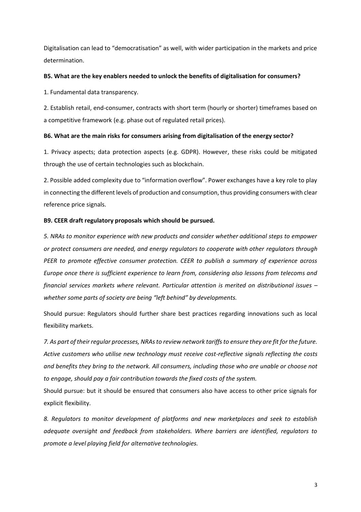Digitalisation can lead to "democratisation" as well, with wider participation in the markets and price determination.

#### **B5. What are the key enablers needed to unlock the benefits of digitalisation for consumers?**

1. Fundamental data transparency.

2. Establish retail, end-consumer, contracts with short term (hourly or shorter) timeframes based on a competitive framework (e.g. phase out of regulated retail prices).

## **B6. What are the main risks for consumers arising from digitalisation of the energy sector?**

1. Privacy aspects; data protection aspects (e.g. GDPR). However, these risks could be mitigated through the use of certain technologies such as blockchain.

2. Possible added complexity due to "information overflow". Power exchanges have a key role to play in connecting the different levels of production and consumption, thus providing consumers with clear reference price signals.

## **B9. CEER draft regulatory proposals which should be pursued.**

*5. NRAs to monitor experience with new products and consider whether additional steps to empower or protect consumers are needed, and energy regulators to cooperate with other regulators through PEER to promote effective consumer protection. CEER to publish a summary of experience across Europe once there is sufficient experience to learn from, considering also lessons from telecoms and financial services markets where relevant. Particular attention is merited on distributional issues – whether some parts of society are being "left behind" by developments.*

Should pursue: Regulators should further share best practices regarding innovations such as local flexibility markets.

*7. As part of their regular processes, NRAs to review network tariffs to ensure they are fit for the future. Active customers who utilise new technology must receive cost-reflective signals reflecting the costs and benefits they bring to the network. All consumers, including those who are unable or choose not to engage, should pay a fair contribution towards the fixed costs of the system.* 

Should pursue: but it should be ensured that consumers also have access to other price signals for explicit flexibility.

*8. Regulators to monitor development of platforms and new marketplaces and seek to establish adequate oversight and feedback from stakeholders. Where barriers are identified, regulators to promote a level playing field for alternative technologies.*